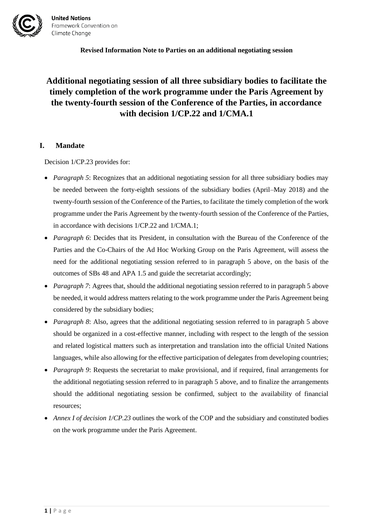

# **Additional negotiating session of all three subsidiary bodies to facilitate the timely completion of the work programme under the Paris Agreement by the twenty-fourth session of the Conference of the Parties, in accordance with decision 1/CP.22 and 1/CMA.1**

### **I. Mandate**

Decision 1/CP.23 provides for:

- *Paragraph 5*: Recognizes that an additional negotiating session for all three subsidiary bodies may be needed between the forty-eighth sessions of the subsidiary bodies (April–May 2018) and the twenty-fourth session of the Conference of the Parties, to facilitate the timely completion of the work programme under the Paris Agreement by the twenty-fourth session of the Conference of the Parties, in accordance with decisions 1/CP.22 and 1/CMA.1;
- *Paragraph 6*: Decides that its President, in consultation with the Bureau of the Conference of the Parties and the Co-Chairs of the Ad Hoc Working Group on the Paris Agreement, will assess the need for the additional negotiating session referred to in paragraph 5 above, on the basis of the outcomes of SBs 48 and APA 1.5 and guide the secretariat accordingly;
- *Paragraph 7*: Agrees that, should the additional negotiating session referred to in paragraph 5 above be needed, it would address matters relating to the work programme under the Paris Agreement being considered by the subsidiary bodies;
- *Paragraph 8*: Also, agrees that the additional negotiating session referred to in paragraph 5 above should be organized in a cost-effective manner, including with respect to the length of the session and related logistical matters such as interpretation and translation into the official United Nations languages, while also allowing for the effective participation of delegates from developing countries;
- *Paragraph 9*: Requests the secretariat to make provisional, and if required, final arrangements for the additional negotiating session referred to in paragraph 5 above, and to finalize the arrangements should the additional negotiating session be confirmed, subject to the availability of financial resources;
- *Annex I of decision 1/CP.23* outlines the work of the COP and the subsidiary and constituted bodies on the work programme under the Paris Agreement.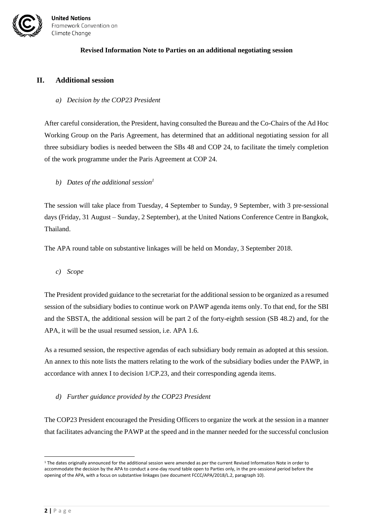

### **II. Additional session**

### *a) Decision by the COP23 President*

After careful consideration, the President, having consulted the Bureau and the Co-Chairs of the Ad Hoc Working Group on the Paris Agreement, has determined that an additional negotiating session for all three subsidiary bodies is needed between the SBs 48 and COP 24, to facilitate the timely completion of the work programme under the Paris Agreement at COP 24.

*b) Dates of the additional session<sup>1</sup>*

The session will take place from Tuesday, 4 September to Sunday, 9 September, with 3 pre-sessional days (Friday, 31 August – Sunday, 2 September), at the United Nations Conference Centre in Bangkok, Thailand.

The APA round table on substantive linkages will be held on Monday, 3 September 2018.

*c) Scope*

The President provided guidance to the secretariat for the additional session to be organized as a resumed session of the subsidiary bodies to continue work on PAWP agenda items only. To that end, for the SBI and the SBSTA, the additional session will be part 2 of the forty-eighth session (SB 48.2) and, for the APA, it will be the usual resumed session, i.e. APA 1.6.

As a resumed session, the respective agendas of each subsidiary body remain as adopted at this session. An annex to this note lists the matters relating to the work of the subsidiary bodies under the PAWP, in accordance with annex I to decision 1/CP.23, and their corresponding agenda items.

*d) Further guidance provided by the COP23 President* 

The COP23 President encouraged the Presiding Officers to organize the work at the session in a manner that facilitates advancing the PAWP at the speed and in the manner needed for the successful conclusion

 $\overline{a}$ 

<sup>&</sup>lt;sup>1</sup> The dates originally announced for the additional session were amended as per the current Revised Information Note in order to accommodate the decision by the APA to conduct a one-day round table open to Parties only, in the pre-sessional period before the opening of the APA, with a focus on substantive linkages (see document FCCC/APA/2018/L.2, paragraph 10).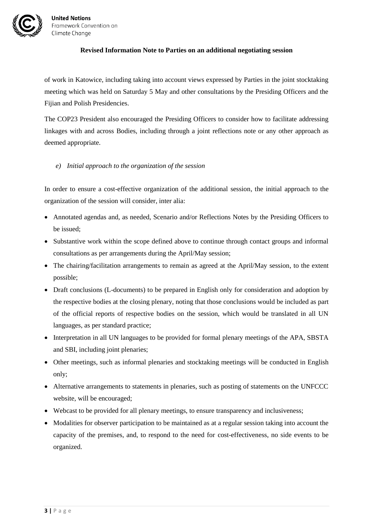

of work in Katowice, including taking into account views expressed by Parties in the joint stocktaking meeting which was held on Saturday 5 May and other consultations by the Presiding Officers and the Fijian and Polish Presidencies.

The COP23 President also encouraged the Presiding Officers to consider how to facilitate addressing linkages with and across Bodies, including through a joint reflections note or any other approach as deemed appropriate.

*e) Initial approach to the organization of the session*

In order to ensure a cost-effective organization of the additional session, the initial approach to the organization of the session will consider, inter alia:

- Annotated agendas and, as needed, Scenario and/or Reflections Notes by the Presiding Officers to be issued;
- Substantive work within the scope defined above to continue through contact groups and informal consultations as per arrangements during the April/May session;
- The chairing/facilitation arrangements to remain as agreed at the April/May session, to the extent possible;
- Draft conclusions (L-documents) to be prepared in English only for consideration and adoption by the respective bodies at the closing plenary, noting that those conclusions would be included as part of the official reports of respective bodies on the session, which would be translated in all UN languages, as per standard practice;
- Interpretation in all UN languages to be provided for formal plenary meetings of the APA, SBSTA and SBI, including joint plenaries;
- Other meetings, such as informal plenaries and stocktaking meetings will be conducted in English only;
- Alternative arrangements to statements in plenaries, such as posting of statements on the UNFCCC website, will be encouraged;
- Webcast to be provided for all plenary meetings, to ensure transparency and inclusiveness;
- Modalities for observer participation to be maintained as at a regular session taking into account the capacity of the premises, and, to respond to the need for cost-effectiveness, no side events to be organized.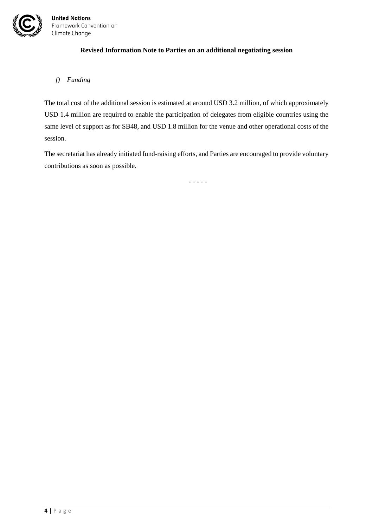

### *f) Funding*

The total cost of the additional session is estimated at around USD 3.2 million, of which approximately USD 1.4 million are required to enable the participation of delegates from eligible countries using the same level of support as for SB48, and USD 1.8 million for the venue and other operational costs of the session.

The secretariat has already initiated fund-raising efforts, and Parties are encouraged to provide voluntary contributions as soon as possible.

- - - - -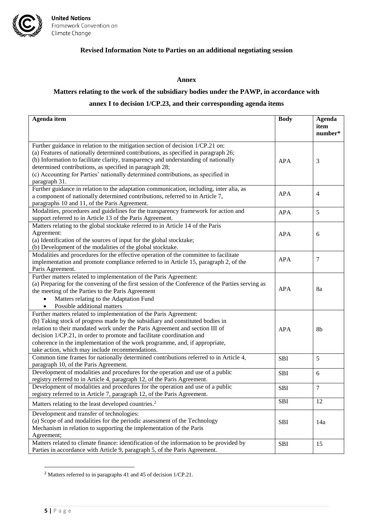

#### **Annex**

### **Matters relating to the work of the subsidiary bodies under the PAWP, in accordance with**

### **annex I to decision 1/CP.23, and their corresponding agenda items**

| Agenda item                                                                                                                                                                                                                                                                                                                                                                                                                                   | <b>Body</b> | <b>Agenda</b><br>item |
|-----------------------------------------------------------------------------------------------------------------------------------------------------------------------------------------------------------------------------------------------------------------------------------------------------------------------------------------------------------------------------------------------------------------------------------------------|-------------|-----------------------|
|                                                                                                                                                                                                                                                                                                                                                                                                                                               |             | number*               |
| Further guidance in relation to the mitigation section of decision 1/CP.21 on:<br>(a) Features of nationally determined contributions, as specified in paragraph 26;<br>(b) Information to facilitate clarity, transparency and understanding of nationally<br>determined contributions, as specified in paragraph 28;<br>(c) Accounting for Parties' nationally determined contributions, as specified in<br>paragraph 31.                   | <b>APA</b>  | 3                     |
| Further guidance in relation to the adaptation communication, including, inter alia, as<br>a component of nationally determined contributions, referred to in Article 7,<br>paragraphs 10 and 11, of the Paris Agreement.                                                                                                                                                                                                                     | <b>APA</b>  | $\overline{4}$        |
| Modalities, procedures and guidelines for the transparency framework for action and<br>support referred to in Article 13 of the Paris Agreement.                                                                                                                                                                                                                                                                                              | <b>APA</b>  | 5                     |
| Matters relating to the global stocktake referred to in Article 14 of the Paris<br>Agreement:<br>(a) Identification of the sources of input for the global stocktake;<br>(b) Development of the modalities of the global stocktake.                                                                                                                                                                                                           | <b>APA</b>  | 6                     |
| Modalities and procedures for the effective operation of the committee to facilitate<br>implementation and promote compliance referred to in Article 15, paragraph 2, of the<br>Paris Agreement.                                                                                                                                                                                                                                              | <b>APA</b>  | 7                     |
| Further matters related to implementation of the Paris Agreement:<br>(a) Preparing for the convening of the first session of the Conference of the Parties serving as<br>the meeting of the Parties to the Paris Agreement<br>Matters relating to the Adaptation Fund<br>Possible additional matters                                                                                                                                          | <b>APA</b>  | 8a                    |
| Further matters related to implementation of the Paris Agreement:<br>(b) Taking stock of progress made by the subsidiary and constituted bodies in<br>relation to their mandated work under the Paris Agreement and section III of<br>decision 1/CP.21, in order to promote and facilitate coordination and<br>coherence in the implementation of the work programme, and, if appropriate,<br>take action, which may include recommendations. | <b>APA</b>  | 8b                    |
| Common time frames for nationally determined contributions referred to in Article 4,<br>paragraph 10, of the Paris Agreement.                                                                                                                                                                                                                                                                                                                 | <b>SBI</b>  | 5                     |
| Development of modalities and procedures for the operation and use of a public<br>registry referred to in Article 4, paragraph 12, of the Paris Agreement.                                                                                                                                                                                                                                                                                    | SBI         | 6                     |
| Development of modalities and procedures for the operation and use of a public<br>registry referred to in Article 7, paragraph 12, of the Paris Agreement.                                                                                                                                                                                                                                                                                    | <b>SBI</b>  | $\overline{7}$        |
| Matters relating to the least developed countries. <sup>2</sup>                                                                                                                                                                                                                                                                                                                                                                               | SBI         | 12                    |
| Development and transfer of technologies:<br>(a) Scope of and modalities for the periodic assessment of the Technology<br>Mechanism in relation to supporting the implementation of the Paris<br>Agreement;                                                                                                                                                                                                                                   | SBI         | 14a                   |
| Matters related to climate finance: identification of the information to be provided by<br>Parties in accordance with Article 9, paragraph 5, of the Paris Agreement.                                                                                                                                                                                                                                                                         | <b>SBI</b>  | 15                    |

<sup>2</sup> Matters referred to in paragraphs 41 and 45 of decision 1/CP.21.

 $\overline{\phantom{a}}$